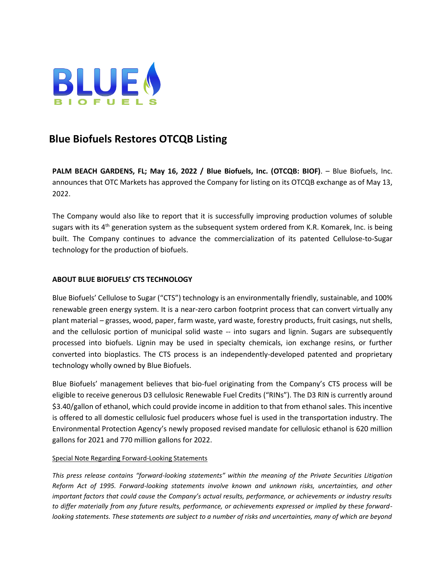

## **Blue Biofuels Restores OTCQB Listing**

**PALM BEACH GARDENS, FL; May 16, 2022 / Blue Biofuels, Inc. (OTCQB: BIOF)**. – Blue Biofuels, Inc. announces that OTC Markets has approved the Company for listing on its OTCQB exchange as of May 13, 2022.

The Company would also like to report that it is successfully improving production volumes of soluble sugars with its 4<sup>th</sup> generation system as the subsequent system ordered from K.R. Komarek, Inc. is being built. The Company continues to advance the commercialization of its patented Cellulose-to-Sugar technology for the production of biofuels.

## **ABOUT BLUE BIOFUELS' CTS TECHNOLOGY**

Blue Biofuels' Cellulose to Sugar ("CTS") technology is an environmentally friendly, sustainable, and 100% renewable green energy system. It is a near-zero carbon footprint process that can convert virtually any plant material – grasses, wood, paper, farm waste, yard waste, forestry products, fruit casings, nut shells, and the cellulosic portion of municipal solid waste -- into sugars and lignin. Sugars are subsequently processed into biofuels. Lignin may be used in specialty chemicals, ion exchange resins, or further converted into bioplastics. The CTS process is an independently-developed patented and proprietary technology wholly owned by Blue Biofuels.

Blue Biofuels' management believes that bio-fuel originating from the Company's CTS process will be eligible to receive generous D3 cellulosic Renewable Fuel Credits ("RINs"). The D3 RIN is currently around \$3.40/gallon of ethanol, which could provide income in addition to that from ethanol sales. This incentive is offered to all domestic cellulosic fuel producers whose fuel is used in the transportation industry. The Environmental Protection Agency's newly proposed revised mandate for cellulosic ethanol is 620 million gallons for 2021 and 770 million gallons for 2022.

## Special Note Regarding Forward-Looking Statements

*This press release contains "forward-looking statements" within the meaning of the Private Securities Litigation Reform Act of 1995. Forward-looking statements involve known and unknown risks, uncertainties, and other important factors that could cause the Company's actual results, performance, or achievements or industry results to differ materially from any future results, performance, or achievements expressed or implied by these forwardlooking statements. These statements are subject to a number of risks and uncertainties, many of which are beyond*